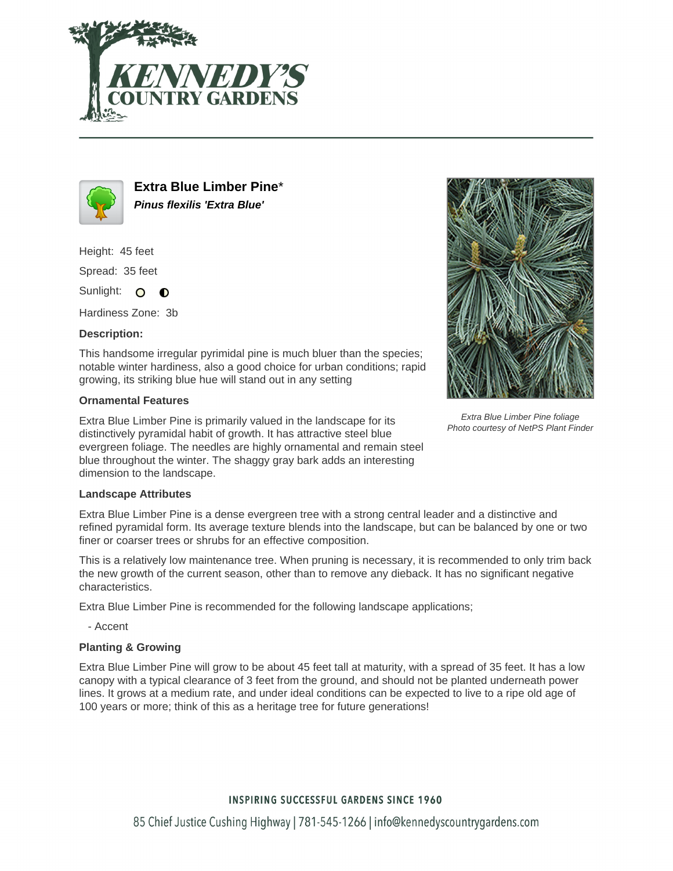



**Extra Blue Limber Pine**\* **Pinus flexilis 'Extra Blue'**

Height: 45 feet

Spread: 35 feet

Sunlight: O  $\bullet$ 

Hardiness Zone: 3b

## **Description:**

This handsome irregular pyrimidal pine is much bluer than the species; notable winter hardiness, also a good choice for urban conditions; rapid growing, its striking blue hue will stand out in any setting

## **Ornamental Features**

Extra Blue Limber Pine is primarily valued in the landscape for its distinctively pyramidal habit of growth. It has attractive steel blue evergreen foliage. The needles are highly ornamental and remain steel blue throughout the winter. The shaggy gray bark adds an interesting dimension to the landscape.



Extra Blue Limber Pine foliage Photo courtesy of NetPS Plant Finder

## **Landscape Attributes**

Extra Blue Limber Pine is a dense evergreen tree with a strong central leader and a distinctive and refined pyramidal form. Its average texture blends into the landscape, but can be balanced by one or two finer or coarser trees or shrubs for an effective composition.

This is a relatively low maintenance tree. When pruning is necessary, it is recommended to only trim back the new growth of the current season, other than to remove any dieback. It has no significant negative characteristics.

Extra Blue Limber Pine is recommended for the following landscape applications;

- Accent

## **Planting & Growing**

Extra Blue Limber Pine will grow to be about 45 feet tall at maturity, with a spread of 35 feet. It has a low canopy with a typical clearance of 3 feet from the ground, and should not be planted underneath power lines. It grows at a medium rate, and under ideal conditions can be expected to live to a ripe old age of 100 years or more; think of this as a heritage tree for future generations!

# **INSPIRING SUCCESSFUL GARDENS SINCE 1960**